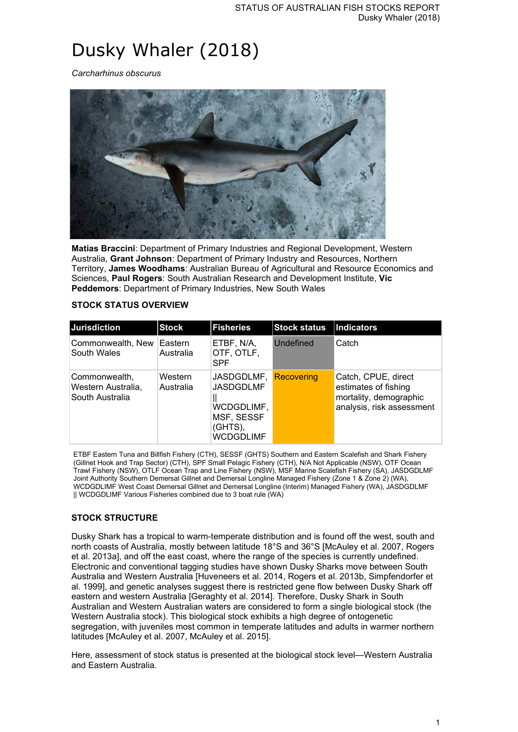# Dusky Whaler (2018)

*Carcharhinus obscurus*



**Matias Braccini**: Department of Primary Industries and Regional Development, Western Australia, **Grant Johnson**: Department of Primary Industry and Resources, Northern Territory, **James Woodhams**: Australian Bureau of Agricultural and Resource Economics and Sciences, **Paul Rogers**: South Australian Research and Development Institute, **Vic Peddemors**: Department of Primary Industries, New South Wales

## **STOCK STATUS OVERVIEW**

| <b>Jurisdiction</b>                                     | <b>Stock</b>         | <b>Fisheries</b>                                                                   | <b>Stock status</b> | <b>Indicators</b>                                                                                  |
|---------------------------------------------------------|----------------------|------------------------------------------------------------------------------------|---------------------|----------------------------------------------------------------------------------------------------|
| Commonwealth, New<br>South Wales                        | Eastern<br>Australia | ETBF, N/A,<br>OTF, OTLF,<br><b>SPF</b>                                             | Undefined           | Catch                                                                                              |
| ∣Commonwealth,<br>Western Australia,<br>South Australia | Western<br>Australia | JASDGDLMF,<br><b>JASDGDLMF</b><br>WCDGDLIMF,<br>MSF, SESSF<br>(GHTS),<br>WCDGDLIMF | Recovering          | Catch, CPUE, direct<br>estimates of fishing<br>mortality, demographic<br>analysis, risk assessment |

ETBF Eastern Tuna and Billfish Fishery (CTH), SESSF (GHTS) Southern and Eastern Scalefish and Shark Fishery (Gillnet Hook and Trap Sector) (CTH), SPF Small Pelagic Fishery (CTH), N/A Not Applicable (NSW), OTF Ocean Trawl Fishery (NSW), OTLF Ocean Trap and Line Fishery (NSW), MSF Marine Scalefish Fishery (SA), JASDGDLMF Joint Authority Southern Demersal Gillnet and Demersal Longline Managed Fishery (Zone 1 & Zone 2) (WA), WCDGDLIMF West Coast Demersal Gillnet and Demersal Longline (Interim) Managed Fishery (WA), JASDGDLMF || WCDGDLIMF Various Fisheries combined due to 3 boat rule (WA)

## **STOCK STRUCTURE**

Dusky Shark has a tropical to warm-temperate distribution and is found off the west, south and north coasts of Australia, mostly between latitude 18°S and 36°S [McAuley et al. 2007, Rogers et al. 2013a], and off the east coast, where the range of the species is currently undefined. Electronic and conventional tagging studies have shown Dusky Sharks move between South Australia and Western Australia [Huveneers et al. 2014, Rogers et al. 2013b, Simpfendorfer et al. 1999], and genetic analyses suggest there is restricted gene flow between Dusky Shark off eastern and western Australia [Geraghty et al. 2014]. Therefore, Dusky Shark in South Australian and Western Australian waters are considered to form a single biological stock (the Western Australia stock). This biological stock exhibits a high degree of ontogenetic segregation, with juveniles most common in temperate latitudes and adults in warmer northern latitudes [McAuley et al. 2007, McAuley et al. 2015].

Here, assessment of stock status is presented at the biological stock level—Western Australia and Eastern Australia.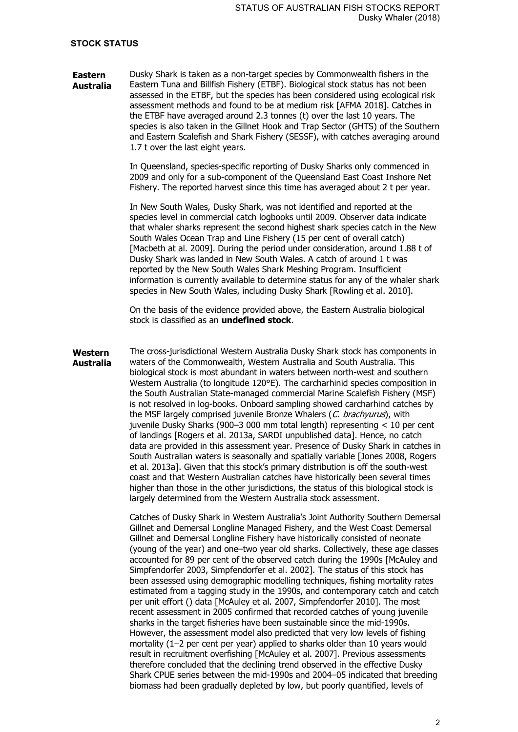### **STOCK STATUS**

**Eastern Australia** Dusky Shark is taken as a non-target species by Commonwealth fishers in the Eastern Tuna and Billfish Fishery (ETBF). Biological stock status has not been assessed in the ETBF, but the species has been considered using ecological risk assessment methods and found to be at medium risk [AFMA 2018]. Catches in the ETBF have averaged around 2.3 tonnes (t) over the last 10 years. The species is also taken in the Gillnet Hook and Trap Sector (GHTS) of the Southern and Eastern Scalefish and Shark Fishery (SESSF), with catches averaging around 1.7 t over the last eight years.

> In Queensland, species-specific reporting of Dusky Sharks only commenced in 2009 and only for a sub-component of the Queensland East Coast Inshore Net Fishery. The reported harvest since this time has averaged about 2 t per year.

In New South Wales, Dusky Shark, was not identified and reported at the species level in commercial catch logbooks until 2009. Observer data indicate that whaler sharks represent the second highest shark species catch in the New South Wales Ocean Trap and Line Fishery (15 per cent of overall catch) [Macbeth at al. 2009]. During the period under consideration, around 1.88 t of Dusky Shark was landed in New South Wales. A catch of around 1 t was reported by the New South Wales Shark Meshing Program. Insufficient information is currently available to determine status for any of the whaler shark species in New South Wales, including Dusky Shark [Rowling et al. 2010].

On the basis of the evidence provided above, the Eastern Australia biological stock is classified as an **undefined stock**.

**Western Australia** The cross-jurisdictional Western Australia Dusky Shark stock has components in waters of the Commonwealth, Western Australia and South Australia. This biological stock is most abundant in waters between north-west and southern Western Australia (to longitude 120°E). The carcharhinid species composition in the South Australian State-managed commercial Marine Scalefish Fishery (MSF) is not resolved in log-books. Onboard sampling showed carcharhind catches by the MSF largely comprised juvenile Bronze Whalers (C. brachyurus), with juvenile Dusky Sharks (900–3 000 mm total length) representing < 10 per cent of landings [Rogers et al. 2013a, SARDI unpublished data]. Hence, no catch data are provided in this assessment year. Presence of Dusky Shark in catches in South Australian waters is seasonally and spatially variable [Jones 2008, Rogers et al. 2013a]. Given that this stock's primary distribution is off the south-west coast and that Western Australian catches have historically been several times higher than those in the other jurisdictions, the status of this biological stock is largely determined from the Western Australia stock assessment.

> Catches of Dusky Shark in Western Australia's Joint Authority Southern Demersal Gillnet and Demersal Longline Managed Fishery, and the West Coast Demersal Gillnet and Demersal Longline Fishery have historically consisted of neonate (young of the year) and one–two year old sharks. Collectively, these age classes accounted for 89 per cent of the observed catch during the 1990s [McAuley and Simpfendorfer 2003, Simpfendorfer et al. 2002]. The status of this stock has been assessed using demographic modelling techniques, fishing mortality rates estimated from a tagging study in the 1990s, and contemporary catch and catch per unit effort () data [McAuley et al. 2007, Simpfendorfer 2010]. The most recent assessment in 2005 confirmed that recorded catches of young juvenile sharks in the target fisheries have been sustainable since the mid-1990s. However, the assessment model also predicted that very low levels of fishing mortality (1–2 per cent per year) applied to sharks older than 10 years would result in recruitment overfishing [McAuley et al. 2007]. Previous assessments therefore concluded that the declining trend observed in the effective Dusky Shark CPUE series between the mid-1990s and 2004–05 indicated that breeding biomass had been gradually depleted by low, but poorly quantified, levels of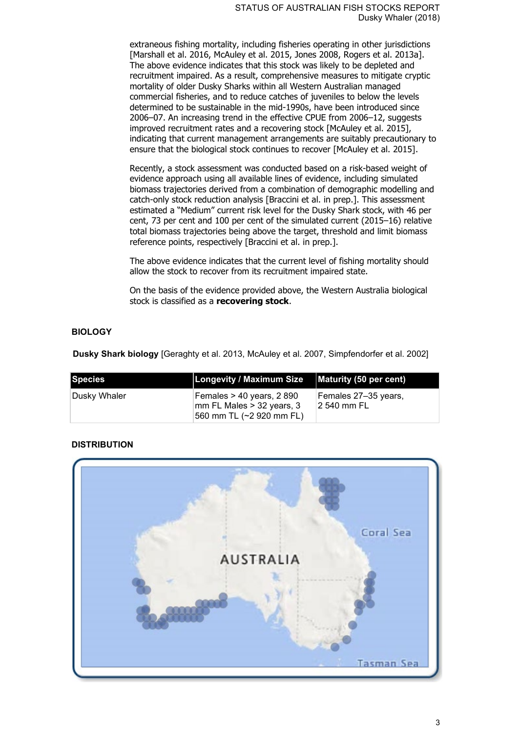extraneous fishing mortality, including fisheries operating in other jurisdictions [Marshall et al. 2016, McAuley et al. 2015, Jones 2008, Rogers et al. 2013a]. The above evidence indicates that this stock was likely to be depleted and recruitment impaired. As a result, comprehensive measures to mitigate cryptic mortality of older Dusky Sharks within all Western Australian managed commercial fisheries, and to reduce catches of juveniles to below the levels determined to be sustainable in the mid-1990s, have been introduced since 2006–07. An increasing trend in the effective CPUE from 2006–12, suggests improved recruitment rates and a recovering stock [McAuley et al. 2015], indicating that current management arrangements are suitably precautionary to ensure that the biological stock continues to recover [McAuley et al. 2015].

Recently, a stock assessment was conducted based on a risk-based weight of evidence approach using all available lines of evidence, including simulated biomass trajectories derived from a combination of demographic modelling and catch-only stock reduction analysis [Braccini et al. in prep.]. This assessment estimated a "Medium" current risk level for the Dusky Shark stock, with 46 per cent, 73 per cent and 100 per cent of the simulated current (2015–16) relative total biomass trajectories being above the target, threshold and limit biomass reference points, respectively [Braccini et al. in prep.].

The above evidence indicates that the current level of fishing mortality should allow the stock to recover from its recruitment impaired state.

On the basis of the evidence provided above, the Western Australia biological stock is classified as a **recovering stock**.

## **BIOLOGY**

**Dusky Shark biology** [Geraghty et al. 2013, McAuley et al. 2007, Simpfendorfer et al. 2002]

| Species       | <b>Longevity / Maximum Size</b>                                                     | Maturity (50 per cent)               |
|---------------|-------------------------------------------------------------------------------------|--------------------------------------|
| ∣Dusky Whaler | Females > 40 years, 2 890<br>∣mm FL Males > 32 years, 3<br>560 mm TL (~2 920 mm FL) | Females 27–35 vears,<br>12 540 mm FL |

## **DISTRIBUTION**

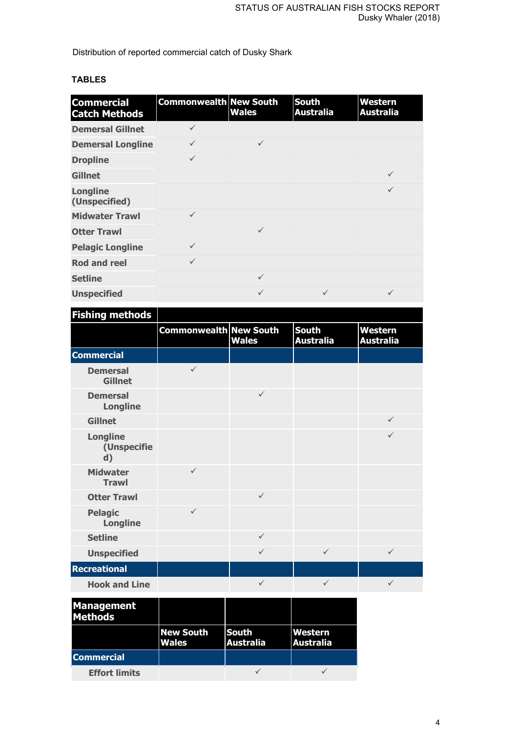Distribution of reported commercial catch of Dusky Shark

| <b>Commercial</b><br><b>Catch Methods</b> | <b>Commonwealth New South</b> | <b>Wales</b> | <b>South</b><br><b>Australia</b> | <b>Western</b><br><b>Australia</b> |
|-------------------------------------------|-------------------------------|--------------|----------------------------------|------------------------------------|
| <b>Demersal Gillnet</b>                   |                               |              |                                  |                                    |
| <b>Demersal Longline</b>                  | $\checkmark$                  | $\checkmark$ |                                  |                                    |
| <b>Dropline</b>                           | $\checkmark$                  |              |                                  |                                    |
| <b>Gillnet</b>                            |                               |              |                                  | $\checkmark$                       |
| <b>Longline</b><br>(Unspecified)          |                               |              |                                  |                                    |
| <b>Midwater Trawl</b>                     | $\checkmark$                  |              |                                  |                                    |
| <b>Otter Trawl</b>                        |                               | $\checkmark$ |                                  |                                    |
| <b>Pelagic Longline</b>                   | $\checkmark$                  |              |                                  |                                    |
| <b>Rod and reel</b>                       | $\checkmark$                  |              |                                  |                                    |
| <b>Setline</b>                            |                               | $\checkmark$ |                                  |                                    |
| <b>Unspecified</b>                        |                               |              |                                  |                                    |

# **TABLES**

| <b>Fishing methods</b>               |                               |              |                                  |                                    |
|--------------------------------------|-------------------------------|--------------|----------------------------------|------------------------------------|
|                                      | <b>Commonwealth New South</b> | <b>Wales</b> | <b>South</b><br><b>Australia</b> | <b>Western</b><br><b>Australia</b> |
| <b>Commercial</b>                    |                               |              |                                  |                                    |
| <b>Demersal</b><br><b>Gillnet</b>    | $\checkmark$                  |              |                                  |                                    |
| <b>Demersal</b><br><b>Longline</b>   |                               | $\checkmark$ |                                  |                                    |
| <b>Gillnet</b>                       |                               |              |                                  | $\checkmark$                       |
| <b>Longline</b><br>(Unspecifie<br>d) |                               |              |                                  | $\checkmark$                       |
| <b>Midwater</b><br><b>Trawl</b>      | $\checkmark$                  |              |                                  |                                    |
| <b>Otter Trawl</b>                   |                               | $\checkmark$ |                                  |                                    |
| <b>Pelagic</b><br><b>Longline</b>    | $\checkmark$                  |              |                                  |                                    |
| <b>Setline</b>                       |                               | $\checkmark$ |                                  |                                    |
| <b>Unspecified</b>                   |                               | $\checkmark$ | $\checkmark$                     | $\checkmark$                       |
| <b>Recreational</b>                  |                               |              |                                  |                                    |
| <b>Hook and Line</b>                 |                               | $\checkmark$ | $\checkmark$                     | $\checkmark$                       |
| п                                    |                               |              |                                  |                                    |

| <b>Management</b><br><b>Methods</b> |                                  |                                  |                             |
|-------------------------------------|----------------------------------|----------------------------------|-----------------------------|
|                                     | <b>New South</b><br><b>Wales</b> | <b>South</b><br><b>Australia</b> | Western<br><b>Australia</b> |
| <b>Commercial</b>                   |                                  |                                  |                             |
| <b>Effort limits</b>                |                                  |                                  |                             |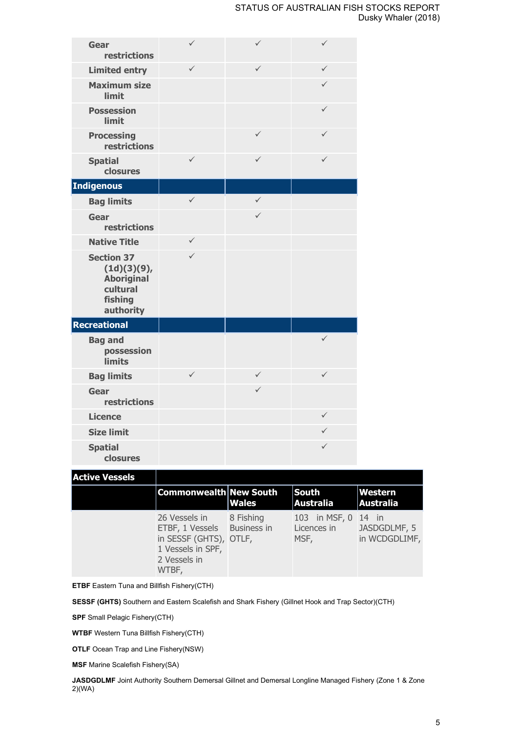| Gear<br>restrictions                                                                      | $\checkmark$ | $\checkmark$ | $\checkmark$ |
|-------------------------------------------------------------------------------------------|--------------|--------------|--------------|
| <b>Limited entry</b>                                                                      | $\checkmark$ | ✓            | $\checkmark$ |
| <b>Maximum size</b><br>limit                                                              |              |              | $\checkmark$ |
| <b>Possession</b><br>limit                                                                |              |              | $\checkmark$ |
| <b>Processing</b><br>restrictions                                                         |              | $\checkmark$ | $\checkmark$ |
| <b>Spatial</b><br>closures                                                                | $\checkmark$ | ✓            | $\checkmark$ |
| <b>Indigenous</b>                                                                         |              |              |              |
| <b>Bag limits</b>                                                                         | $\checkmark$ | $\checkmark$ |              |
| Gear<br>restrictions                                                                      |              | $\checkmark$ |              |
| <b>Native Title</b>                                                                       | $\checkmark$ |              |              |
| <b>Section 37</b><br>(1d)(3)(9),<br><b>Aboriginal</b><br>cultural<br>fishing<br>authority | $\checkmark$ |              |              |
| <b>Recreational</b>                                                                       |              |              |              |
| <b>Bag and</b><br>possession<br><b>limits</b>                                             |              |              | $\checkmark$ |
| <b>Bag limits</b>                                                                         | $\checkmark$ | $\checkmark$ | $\checkmark$ |
| <b>Gear</b><br>restrictions                                                               |              | $\checkmark$ |              |
| <b>Licence</b>                                                                            |              |              | $\checkmark$ |
| <b>Size limit</b>                                                                         |              |              | $\checkmark$ |
| <b>Spatial</b><br>closures                                                                |              |              | $\checkmark$ |

| ٠ | ٧<br>ш | v<br>ı |  | . . |  |
|---|--------|--------|--|-----|--|

| Active Vessels |                                                                                                          |                                 |                                      |                                         |
|----------------|----------------------------------------------------------------------------------------------------------|---------------------------------|--------------------------------------|-----------------------------------------|
|                | <b>Commonwealth New South</b>                                                                            | <b>Wales</b>                    | <b>South</b><br>Australia            | <b>Western</b><br><b>Australia</b>      |
|                | 26 Vessels in<br>ETBF, 1 Vessels<br>in SESSF (GHTS), OTLF,<br>1 Vessels in SPF,<br>2 Vessels in<br>WTBF, | 8 Fishing<br><b>Business in</b> | 103 in MSF, 0<br>Licences in<br>MSF, | -14 in<br>JASDGDLMF, 5<br>in WCDGDLIMF, |

**ETBF** Eastern Tuna and Billfish Fishery(CTH)

**The Second** 

**SESSF (GHTS)** Southern and Eastern Scalefish and Shark Fishery (Gillnet Hook and Trap Sector)(CTH)

**SPF** Small Pelagic Fishery(CTH)

**WTBF** Western Tuna Billfish Fishery(CTH)

**OTLF** Ocean Trap and Line Fishery(NSW)

**MSF** Marine Scalefish Fishery(SA)

**JASDGDLMF** Joint Authority Southern Demersal Gillnet and Demersal Longline Managed Fishery (Zone 1 & Zone 2)(WA)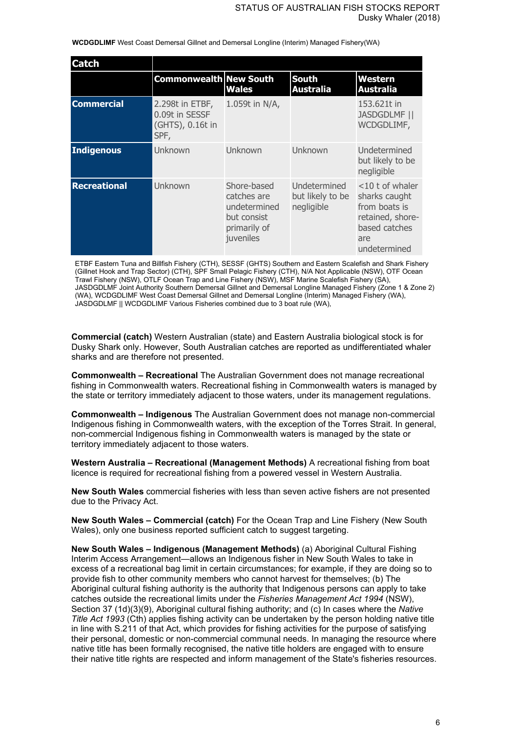**WCDGDLIMF** West Coast Demersal Gillnet and Demersal Longline (Interim) Managed Fishery(WA)

| Catch               |                                                               |                                                                                        |                                                |                                                                                                                  |
|---------------------|---------------------------------------------------------------|----------------------------------------------------------------------------------------|------------------------------------------------|------------------------------------------------------------------------------------------------------------------|
|                     | <b>Commonwealth New South</b>                                 | <b>Wales</b>                                                                           | <b>South</b><br><b>Australia</b>               | Western<br><b>Australia</b>                                                                                      |
| <b>Commercial</b>   | 2.298t in ETBF,<br>0.09t in SESSF<br>(GHTS), 0.16t in<br>SPF, | 1.059t in N/A,                                                                         |                                                | 153,621t in<br><b>JASDGDLMF   </b><br>WCDGDLIMF,                                                                 |
| Indigenous          | Unknown                                                       | Unknown                                                                                | Unknown                                        | Undetermined<br>but likely to be<br>negligible                                                                   |
| <b>Recreational</b> | Unknown                                                       | Shore-based<br>catches are<br>undetermined<br>but consist<br>primarily of<br>juveniles | Undetermined<br>but likely to be<br>negligible | $<$ 10 t of whaler<br>sharks caught<br>from boats is<br>retained, shore-<br>based catches<br>are<br>undetermined |

ETBF Eastern Tuna and Billfish Fishery (CTH), SESSF (GHTS) Southern and Eastern Scalefish and Shark Fishery (Gillnet Hook and Trap Sector) (CTH), SPF Small Pelagic Fishery (CTH), N/A Not Applicable (NSW), OTF Ocean Trawl Fishery (NSW), OTLF Ocean Trap and Line Fishery (NSW), MSF Marine Scalefish Fishery (SA), JASDGDLMF Joint Authority Southern Demersal Gillnet and Demersal Longline Managed Fishery (Zone 1 & Zone 2) (WA), WCDGDLIMF West Coast Demersal Gillnet and Demersal Longline (Interim) Managed Fishery (WA), JASDGDLMF || WCDGDLIMF Various Fisheries combined due to 3 boat rule (WA),

**Commercial (catch)** Western Australian (state) and Eastern Australia biological stock is for Dusky Shark only. However, South Australian catches are reported as undifferentiated whaler sharks and are therefore not presented.

**Commonwealth – Recreational** The Australian Government does not manage recreational fishing in Commonwealth waters. Recreational fishing in Commonwealth waters is managed by the state or territory immediately adjacent to those waters, under its management regulations.

**Commonwealth – Indigenous** The Australian Government does not manage non-commercial Indigenous fishing in Commonwealth waters, with the exception of the Torres Strait. In general, non-commercial Indigenous fishing in Commonwealth waters is managed by the state or territory immediately adjacent to those waters.

**Western Australia – Recreational (Management Methods)** A recreational fishing from boat licence is required for recreational fishing from a powered vessel in Western Australia.

**New South Wales** commercial fisheries with less than seven active fishers are not presented due to the Privacy Act.

**New South Wales – Commercial (catch)** For the Ocean Trap and Line Fishery (New South Wales), only one business reported sufficient catch to suggest targeting.

**New South Wales – Indigenous (Management Methods)** (a) Aboriginal Cultural Fishing Interim Access Arrangement—allows an Indigenous fisher in New South Wales to take in excess of a recreational bag limit in certain circumstances; for example, if they are doing so to provide fish to other community members who cannot harvest for themselves; (b) The Aboriginal cultural fishing authority is the authority that Indigenous persons can apply to take catches outside the recreational limits under the *Fisheries Management Act 1994* (NSW), Section 37 (1d)(3)(9), Aboriginal cultural fishing authority; and (c) In cases where the *Native Title Act 1993* (Cth) applies fishing activity can be undertaken by the person holding native title in line with S.211 of that Act, which provides for fishing activities for the purpose of satisfying their personal, domestic or non-commercial communal needs. In managing the resource where native title has been formally recognised, the native title holders are engaged with to ensure their native title rights are respected and inform management of the State's fisheries resources.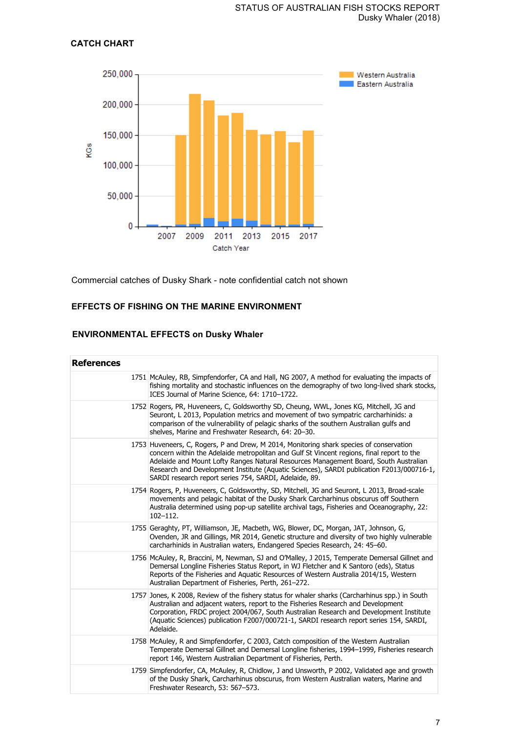## **CATCH CHART**



Commercial catches of Dusky Shark - note confidential catch not shown

## **EFFECTS OF FISHING ON THE MARINE ENVIRONMENT**

## **ENVIRONMENTAL EFFECTS on Dusky Whaler**

| <b>References</b> |                                                                                                                                                                                                                                                                                                                                                                                                                                    |
|-------------------|------------------------------------------------------------------------------------------------------------------------------------------------------------------------------------------------------------------------------------------------------------------------------------------------------------------------------------------------------------------------------------------------------------------------------------|
|                   | 1751 McAuley, RB, Simpfendorfer, CA and Hall, NG 2007, A method for evaluating the impacts of<br>fishing mortality and stochastic influences on the demography of two long-lived shark stocks,<br>ICES Journal of Marine Science, 64: 1710-1722.                                                                                                                                                                                   |
|                   | 1752 Rogers, PR, Huveneers, C, Goldsworthy SD, Cheung, WWL, Jones KG, Mitchell, JG and<br>Seuront, L 2013, Population metrics and movement of two sympatric carcharhinids: a<br>comparison of the vulnerability of pelagic sharks of the southern Australian gulfs and<br>shelves, Marine and Freshwater Research, 64: 20-30.                                                                                                      |
|                   | 1753 Huveneers, C, Rogers, P and Drew, M 2014, Monitoring shark species of conservation<br>concern within the Adelaide metropolitan and Gulf St Vincent regions, final report to the<br>Adelaide and Mount Lofty Ranges Natural Resources Management Board, South Australian<br>Research and Development Institute (Aquatic Sciences), SARDI publication F2013/000716-1,<br>SARDI research report series 754, SARDI, Adelaide, 89. |
|                   | 1754 Rogers, P, Huveneers, C, Goldsworthy, SD, Mitchell, JG and Seuront, L 2013, Broad-scale<br>movements and pelagic habitat of the Dusky Shark Carcharhinus obscurus off Southern<br>Australia determined using pop-up satellite archival tags, Fisheries and Oceanography, 22:<br>$102 - 112.$                                                                                                                                  |
|                   | 1755 Geraghty, PT, Williamson, JE, Macbeth, WG, Blower, DC, Morgan, JAT, Johnson, G,<br>Ovenden, JR and Gillings, MR 2014, Genetic structure and diversity of two highly vulnerable<br>carcharhinids in Australian waters, Endangered Species Research, 24: 45-60.                                                                                                                                                                 |
|                   | 1756 McAuley, R, Braccini, M, Newman, SJ and O'Malley, J 2015, Temperate Demersal Gillnet and<br>Demersal Longline Fisheries Status Report, in WJ Fletcher and K Santoro (eds), Status<br>Reports of the Fisheries and Aquatic Resources of Western Australia 2014/15, Western<br>Australian Department of Fisheries, Perth, 261-272.                                                                                              |
|                   | 1757 Jones, K 2008, Review of the fishery status for whaler sharks (Carcharhinus spp.) in South<br>Australian and adjacent waters, report to the Fisheries Research and Development<br>Corporation, FRDC project 2004/067, South Australian Research and Development Institute<br>(Aquatic Sciences) publication F2007/000721-1, SARDI research report series 154, SARDI,<br>Adelaide.                                             |
|                   | 1758 McAuley, R and Simpfendorfer, C 2003, Catch composition of the Western Australian<br>Temperate Demersal Gillnet and Demersal Longline fisheries, 1994-1999, Fisheries research<br>report 146, Western Australian Department of Fisheries, Perth.                                                                                                                                                                              |
|                   | 1759 Simpfendorfer, CA, McAuley, R, Chidlow, J and Unsworth, P 2002, Validated age and growth<br>of the Dusky Shark, Carcharhinus obscurus, from Western Australian waters, Marine and<br>Freshwater Research, 53: 567-573.                                                                                                                                                                                                        |